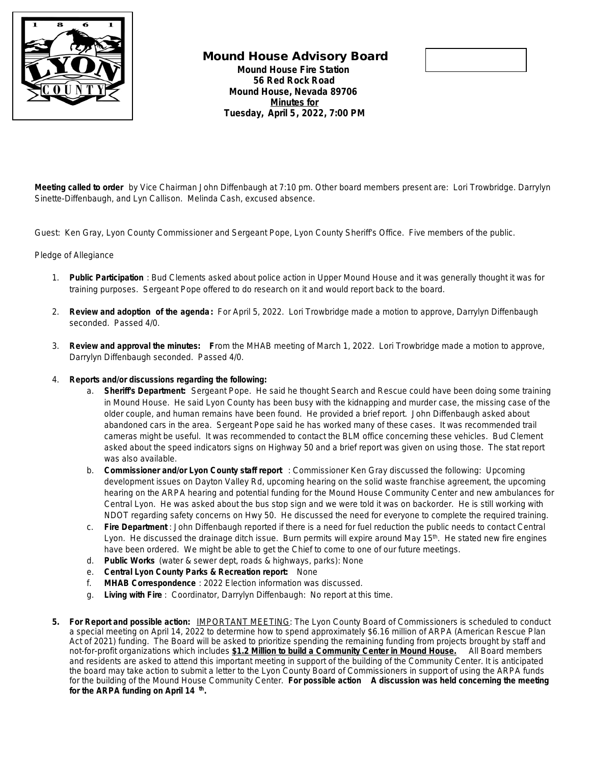

## **Mound House Advisory Board Mound House Fire Station 56 Red Rock Road Mound House, Nevada 89706 Minutes for Tuesday, April 5, 2022, 7:00 PM**



**Meeting called to order** by Vice Chairman John Diffenbaugh at 7:10 pm. Other board members present are: Lori Trowbridge. Darrylyn Sinette-Diffenbaugh, and Lyn Callison. Melinda Cash, excused absence.

Guest: Ken Gray, Lyon County Commissioner and Sergeant Pope, Lyon County Sheriff's Office. Five members of the public.

## Pledge of Allegiance

- 1. **Public Participation** : Bud Clements asked about police action in Upper Mound House and it was generally thought it was for training purposes. Sergeant Pope offered to do research on it and would report back to the board.
- 2. **Review and adoption of the agenda:** For April 5, 2022. Lori Trowbridge made a motion to approve, Darrylyn Diffenbaugh seconded. Passed 4/0.
- 3. **Review and approval the minutes: F**rom the MHAB meeting of March 1, 2022. Lori Trowbridge made a motion to approve, Darrylyn Diffenbaugh seconded. Passed 4/0.
- 4. **Reports and/or discussions regarding the following:**
	- a. **Sheriff's Department:** Sergeant Pope. He said he thought Search and Rescue could have been doing some training in Mound House. He said Lyon County has been busy with the kidnapping and murder case, the missing case of the older couple, and human remains have been found. He provided a brief report. John Diffenbaugh asked about abandoned cars in the area. Sergeant Pope said he has worked many of these cases. It was recommended trail cameras might be useful. It was recommended to contact the BLM office concerning these vehicles. Bud Clement asked about the speed indicators signs on Highway 50 and a brief report was given on using those. The stat report was also available.
	- b. **Commissioner and/or Lyon County staff report** : Commissioner Ken Gray discussed the following: Upcoming development issues on Dayton Valley Rd, upcoming hearing on the solid waste franchise agreement, the upcoming hearing on the ARPA hearing and potential funding for the Mound House Community Center and new ambulances for Central Lyon. He was asked about the bus stop sign and we were told it was on backorder. He is still working with NDOT regarding safety concerns on Hwy 50. He discussed the need for everyone to complete the required training.
	- c. **Fire Department** : John Diffenbaugh reported if there is a need for fuel reduction the public needs to contact Central Lyon. He discussed the drainage ditch issue. Burn permits will expire around May 15<sup>th</sup>. He stated new fire engines have been ordered. We might be able to get the Chief to come to one of our future meetings.
	- d. **Public Works** (water & sewer dept, roads & highways, parks): None
	- e. **Central Lyon County Parks & Recreation report:** None
	- f. **MHAB Correspondence** : 2022 Election information was discussed.
	- g. **Living with Fire** : Coordinator, Darrylyn Diffenbaugh: No report at this time.
- **5. For Report and possible action:** IMPORTANT MEETING: The Lyon County Board of Commissioners is scheduled to conduct a special meeting on April 14, 2022 to determine how to spend approximately \$6.16 million of ARPA (American Rescue Plan Act of 2021) funding. The Board will be asked to prioritize spending the remaining funding from projects brought by staff and not-for-profit organizations which includes **\$1.2 Million to build a Community Center in Mound House.** All Board members and residents are asked to attend this important meeting in support of the building of the Community Center*.* It is anticipated the board may take action to submit a letter to the Lyon County Board of Commissioners in support of using the ARPA funds for the building of the Mound House Community Center. *For possible action* **A discussion was held concerning the meeting for the ARPA funding on April 14 th .**